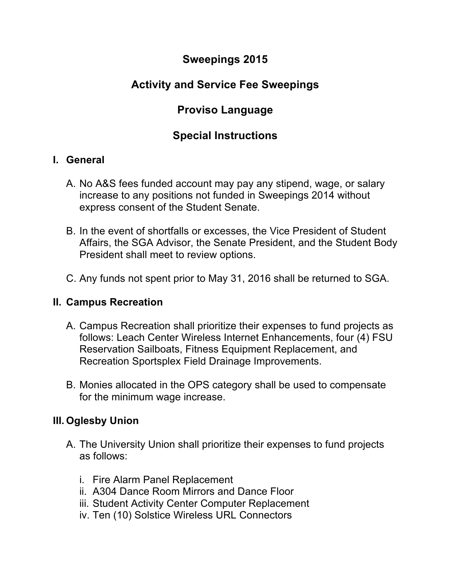## **Sweepings 2015**

# **Activity and Service Fee Sweepings**

# **Proviso Language**

## **Special Instructions**

#### **I. General**

- A. No A&S fees funded account may pay any stipend, wage, or salary increase to any positions not funded in Sweepings 2014 without express consent of the Student Senate.
- B. In the event of shortfalls or excesses, the Vice President of Student Affairs, the SGA Advisor, the Senate President, and the Student Body President shall meet to review options.
- C. Any funds not spent prior to May 31, 2016 shall be returned to SGA.

#### **II. Campus Recreation**

- A. Campus Recreation shall prioritize their expenses to fund projects as follows: Leach Center Wireless Internet Enhancements, four (4) FSU Reservation Sailboats, Fitness Equipment Replacement, and Recreation Sportsplex Field Drainage Improvements.
- B. Monies allocated in the OPS category shall be used to compensate for the minimum wage increase.

### **III. Oglesby Union**

- A. The University Union shall prioritize their expenses to fund projects as follows:
	- i. Fire Alarm Panel Replacement
	- ii. A304 Dance Room Mirrors and Dance Floor
	- iii. Student Activity Center Computer Replacement
	- iv. Ten (10) Solstice Wireless URL Connectors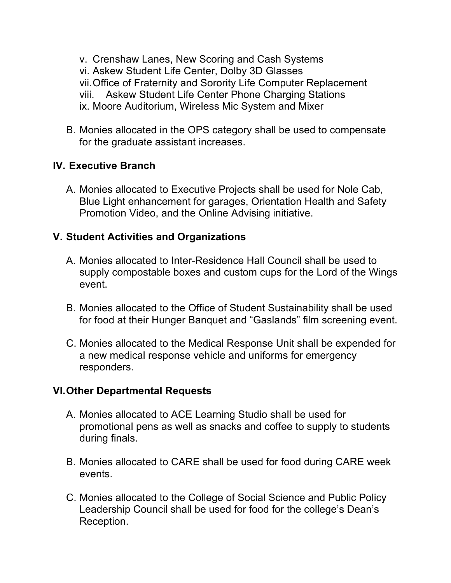v. Crenshaw Lanes, New Scoring and Cash Systems vi. Askew Student Life Center, Dolby 3D Glasses vii.Office of Fraternity and Sorority Life Computer Replacement viii. Askew Student Life Center Phone Charging Stations ix. Moore Auditorium, Wireless Mic System and Mixer

B. Monies allocated in the OPS category shall be used to compensate for the graduate assistant increases.

### **IV. Executive Branch**

A. Monies allocated to Executive Projects shall be used for Nole Cab, Blue Light enhancement for garages, Orientation Health and Safety Promotion Video, and the Online Advising initiative.

#### **V. Student Activities and Organizations**

- A. Monies allocated to Inter-Residence Hall Council shall be used to supply compostable boxes and custom cups for the Lord of the Wings event.
- B. Monies allocated to the Office of Student Sustainability shall be used for food at their Hunger Banquet and "Gaslands" film screening event.
- C. Monies allocated to the Medical Response Unit shall be expended for a new medical response vehicle and uniforms for emergency responders.

#### **VI.Other Departmental Requests**

- A. Monies allocated to ACE Learning Studio shall be used for promotional pens as well as snacks and coffee to supply to students during finals.
- B. Monies allocated to CARE shall be used for food during CARE week events.
- C. Monies allocated to the College of Social Science and Public Policy Leadership Council shall be used for food for the college's Dean's Reception.